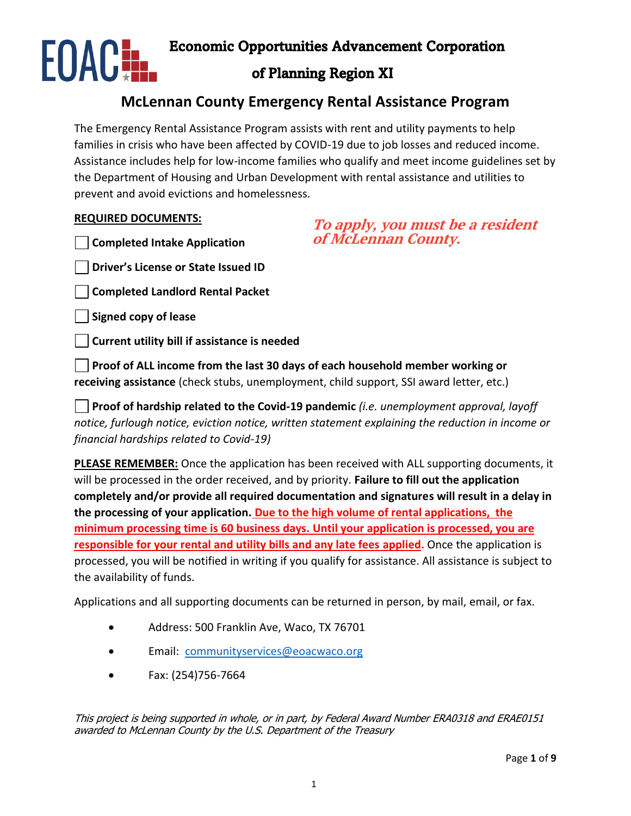

Economic Opportunities Advancement Corporation

# of Planning Region XI

# **McLennan County Emergency Rental Assistance Program**

The Emergency Rental Assistance Program assists with rent and utility payments to help families in crisis who have been affected by COVID-19 due to job losses and reduced income. Assistance includes help for low-income families who qualify and meet income guidelines set by the Department of Housing and Urban Development with rental assistance and utilities to prevent and avoid evictions and homelessness.

### **REQUIRED DOCUMENTS:**

**Completed Intake Application** 

## **To apply, you must be a resident of McLennan County.**

**Driver's License or State Issued ID**

**Completed Landlord Rental Packet**

**Signed copy of lease**

**Current utility bill if assistance is needed**

**Proof of ALL income from the last 30 days of each household member working or receiving assistance** (check stubs, unemployment, child support, SSI award letter, etc.)

**Proof of hardship related to the Covid-19 pandemic** *(i.e. unemployment approval, layoff notice, furlough notice, eviction notice, written statement explaining the reduction in income or financial hardships related to Covid-19)*

**PLEASE REMEMBER:** Once the application has been received with ALL supporting documents, it will be processed in the order received, and by priority. **Failure to fill out the application completely and/or provide all required documentation and signatures will result in a delay in the processing of your application. Due to the high volume of rental applications, the minimum processing time is 60 business days. Until your application is processed, you are responsible for your rental and utility bills and any late fees applied.** Once the application is processed, you will be notified in writing if you qualify for assistance. All assistance is subject to the availability of funds.

Applications and all supporting documents can be returned in person, by mail, email, or fax.

- Address: 500 Franklin Ave, Waco, TX 76701
- Email: [communityservices@eoacwaco.org](mailto:communityservices@eoacwaco.org)
- Fax: (254)756-7664

This project is being supported in whole, or in part, by Federal Award Number ERA0318 and ERAE0151 awarded to McLennan County by the U.S. Department of the Treasury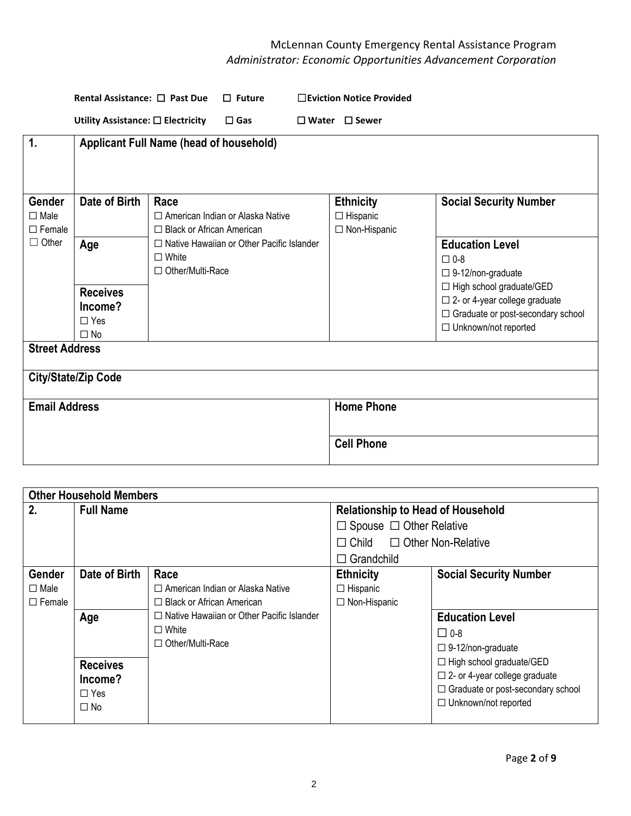|                                        | Rental Assistance: □ Past Due                  |                                         | $\Box$ Future                                    | □Eviction Notice Provided                             |                                                                                                                                          |
|----------------------------------------|------------------------------------------------|-----------------------------------------|--------------------------------------------------|-------------------------------------------------------|------------------------------------------------------------------------------------------------------------------------------------------|
|                                        | Utility Assistance: □ Electricity              |                                         | $\square$ Gas                                    | $\Box$ Water $\Box$ Sewer                             |                                                                                                                                          |
| $\mathbf{1}$ .                         | <b>Applicant Full Name (head of household)</b> |                                         |                                                  |                                                       |                                                                                                                                          |
| Gender<br>$\Box$ Male<br>$\Box$ Female | Date of Birth                                  | Race<br>□ Black or African American     | □ American Indian or Alaska Native               | <b>Ethnicity</b><br>$\Box$ Hispanic<br>□ Non-Hispanic | <b>Social Security Number</b>                                                                                                            |
| $\Box$ Other                           | Age                                            | $\Box$ White<br>$\Box$ Other/Multi-Race | $\Box$ Native Hawaiian or Other Pacific Islander |                                                       | <b>Education Level</b><br>$\square$ 0-8<br>$\square$ 9-12/non-graduate                                                                   |
|                                        | <b>Receives</b><br>Income?<br>$\Box$ Yes       |                                         |                                                  |                                                       | $\Box$ High school graduate/GED<br>$\Box$ 2- or 4-year college graduate<br>□ Graduate or post-secondary school<br>□ Unknown/not reported |
| <b>Street Address</b>                  | $\Box$ No                                      |                                         |                                                  |                                                       |                                                                                                                                          |
|                                        | <b>City/State/Zip Code</b>                     |                                         |                                                  |                                                       |                                                                                                                                          |
| <b>Email Address</b>                   |                                                |                                         |                                                  | <b>Home Phone</b>                                     |                                                                                                                                          |
|                                        |                                                |                                         |                                                  | <b>Cell Phone</b>                                     |                                                                                                                                          |

|               | <b>Other Household Members</b> |                                                  |                                          |                                          |  |
|---------------|--------------------------------|--------------------------------------------------|------------------------------------------|------------------------------------------|--|
| 2.            | <b>Full Name</b>               |                                                  | <b>Relationship to Head of Household</b> |                                          |  |
|               |                                |                                                  | $\Box$ Spouse $\Box$ Other Relative      |                                          |  |
|               |                                |                                                  | $\Box$ Child $\Box$ Other Non-Relative   |                                          |  |
|               |                                |                                                  | $\Box$ Grandchild                        |                                          |  |
| <b>Gender</b> | Date of Birth                  | Race                                             | <b>Ethnicity</b>                         | <b>Social Security Number</b>            |  |
| $\Box$ Male   |                                | $\Box$ American Indian or Alaska Native          | $\Box$ Hispanic                          |                                          |  |
| $\Box$ Female |                                | $\Box$ Black or African American                 | □ Non-Hispanic                           |                                          |  |
|               | Age                            | $\Box$ Native Hawaiian or Other Pacific Islander |                                          | <b>Education Level</b>                   |  |
|               |                                | $\Box$ White                                     |                                          | $\square$ 0-8                            |  |
|               |                                | $\Box$ Other/Multi-Race                          |                                          | $\square$ 9-12/non-graduate              |  |
|               | <b>Receives</b>                |                                                  |                                          | $\Box$ High school graduate/GED          |  |
|               | Income?                        |                                                  |                                          | $\Box$ 2- or 4-year college graduate     |  |
|               | $\Box$ Yes                     |                                                  |                                          | $\Box$ Graduate or post-secondary school |  |
|               | $\square$ No                   |                                                  |                                          | $\Box$ Unknown/not reported              |  |
|               |                                |                                                  |                                          |                                          |  |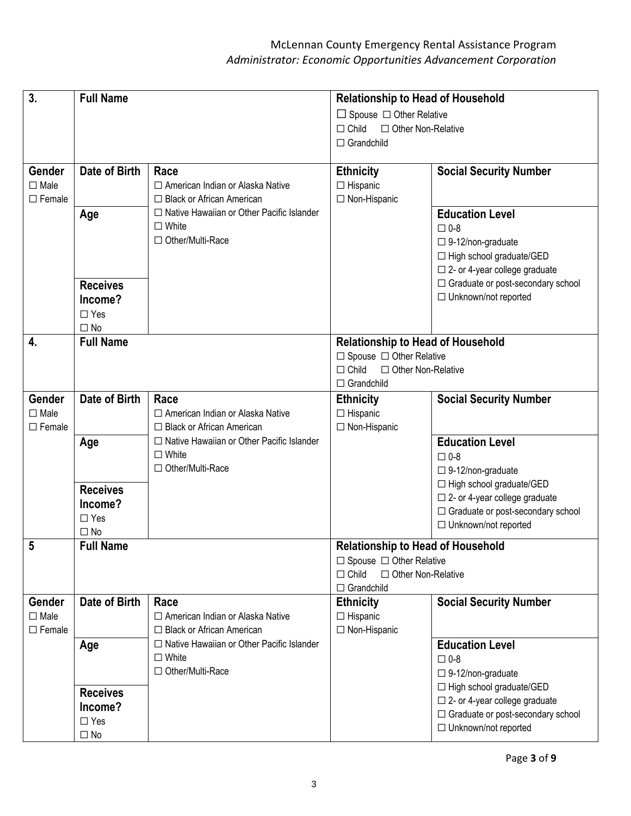| 3.                                 | <b>Full Name</b>     |                                                                        | <b>Relationship to Head of Household</b> |                                         |
|------------------------------------|----------------------|------------------------------------------------------------------------|------------------------------------------|-----------------------------------------|
|                                    |                      |                                                                        | $\Box$ Spouse $\Box$ Other Relative      |                                         |
|                                    |                      |                                                                        | $\Box$ Child<br>□ Other Non-Relative     |                                         |
|                                    |                      |                                                                        | $\Box$ Grandchild                        |                                         |
|                                    |                      |                                                                        |                                          |                                         |
| Gender                             | Date of Birth        | Race                                                                   | <b>Ethnicity</b>                         | <b>Social Security Number</b>           |
| $\square$ Male                     |                      | □ American Indian or Alaska Native                                     | $\Box$ Hispanic                          |                                         |
| $\square$ Female                   |                      | □ Black or African American                                            | □ Non-Hispanic                           |                                         |
|                                    | Age                  | □ Native Hawaiian or Other Pacific Islander                            |                                          | <b>Education Level</b>                  |
|                                    |                      | $\Box$ White                                                           |                                          | $\square$ 0-8                           |
|                                    |                      | □ Other/Multi-Race                                                     |                                          | $\square$ 9-12/non-graduate             |
|                                    |                      |                                                                        |                                          | □ High school graduate/GED              |
|                                    |                      |                                                                        |                                          | $\square$ 2- or 4-year college graduate |
|                                    | <b>Receives</b>      |                                                                        |                                          | □ Graduate or post-secondary school     |
|                                    | Income?              |                                                                        |                                          | □ Unknown/not reported                  |
|                                    | $\Box$ Yes           |                                                                        |                                          |                                         |
|                                    | $\square$ No         |                                                                        |                                          |                                         |
| 4.                                 | <b>Full Name</b>     |                                                                        | <b>Relationship to Head of Household</b> |                                         |
|                                    |                      |                                                                        | $\Box$ Spouse $\Box$ Other Relative      |                                         |
|                                    |                      |                                                                        | $\Box$ Child<br>□ Other Non-Relative     |                                         |
|                                    |                      |                                                                        | $\Box$ Grandchild                        |                                         |
| Gender                             | <b>Date of Birth</b> | Race                                                                   | <b>Ethnicity</b>                         | <b>Social Security Number</b>           |
| $\square$ Male                     |                      | □ American Indian or Alaska Native                                     | $\Box$ Hispanic                          |                                         |
| $\Box$ Female                      |                      | $\Box$ Black or African American                                       | □ Non-Hispanic                           |                                         |
|                                    | Age                  | □ Native Hawaiian or Other Pacific Islander                            |                                          | <b>Education Level</b>                  |
|                                    |                      | $\square$ White                                                        |                                          | $\square$ 0-8                           |
|                                    |                      | $\Box$ Other/Multi-Race                                                |                                          | $\square$ 9-12/non-graduate             |
|                                    |                      |                                                                        |                                          | $\Box$ High school graduate/GED         |
|                                    | <b>Receives</b>      |                                                                        |                                          | $\Box$ 2- or 4-year college graduate    |
|                                    | Income?              |                                                                        |                                          | □ Graduate or post-secondary school     |
|                                    | $\Box$ Yes           |                                                                        |                                          | □ Unknown/not reported                  |
|                                    | $\square$ No         |                                                                        |                                          |                                         |
| 5                                  | <b>Full Name</b>     |                                                                        | <b>Relationship to Head of Household</b> |                                         |
|                                    |                      |                                                                        | $\Box$ Spouse $\Box$ Other Relative      |                                         |
|                                    |                      |                                                                        | $\Box$ Child<br>□ Other Non-Relative     |                                         |
| Gender                             | Date of Birth        | Race                                                                   | $\Box$ Grandchild                        | <b>Social Security Number</b>           |
|                                    |                      |                                                                        | <b>Ethnicity</b>                         |                                         |
| $\square$ Male<br>$\square$ Female |                      | $\Box$ American Indian or Alaska Native<br>□ Black or African American | $\Box$ Hispanic                          |                                         |
|                                    |                      | □ Native Hawaiian or Other Pacific Islander                            | □ Non-Hispanic                           |                                         |
|                                    | Age                  | $\Box$ White                                                           |                                          | <b>Education Level</b>                  |
|                                    |                      | □ Other/Multi-Race                                                     |                                          | $\square$ 0-8                           |
|                                    |                      |                                                                        |                                          | $\square$ 9-12/non-graduate             |
|                                    | <b>Receives</b>      |                                                                        |                                          | $\Box$ High school graduate/GED         |
|                                    | Income?              |                                                                        |                                          | $\Box$ 2- or 4-year college graduate    |
|                                    | $\Box$ Yes           |                                                                        |                                          | □ Graduate or post-secondary school     |
|                                    | $\square$ No         |                                                                        |                                          | $\Box$ Unknown/not reported             |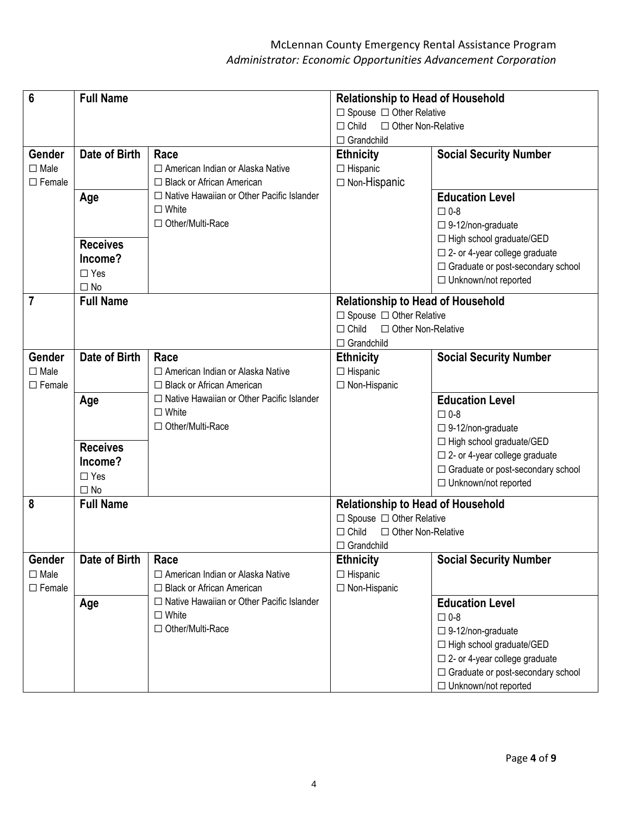| 6                | <b>Full Name</b>                                   |                                                  | <b>Relationship to Head of Household</b>                                        |                                         |  |
|------------------|----------------------------------------------------|--------------------------------------------------|---------------------------------------------------------------------------------|-----------------------------------------|--|
|                  |                                                    |                                                  | $\Box$ Spouse $\Box$ Other Relative                                             |                                         |  |
|                  |                                                    |                                                  | $\Box$ Child<br>□ Other Non-Relative<br>$\Box$ Grandchild                       |                                         |  |
|                  |                                                    |                                                  |                                                                                 |                                         |  |
| Gender           | <b>Date of Birth</b>                               | Race                                             | <b>Ethnicity</b>                                                                | <b>Social Security Number</b>           |  |
| $\square$ Male   |                                                    | $\Box$ American Indian or Alaska Native          | $\Box$ Hispanic                                                                 |                                         |  |
| $\square$ Female |                                                    | □ Black or African American                      | $\Box$ Non-Hispanic                                                             |                                         |  |
|                  | Age                                                | □ Native Hawaiian or Other Pacific Islander      |                                                                                 | <b>Education Level</b>                  |  |
|                  |                                                    | $\Box$ White                                     |                                                                                 | $\square$ 0-8                           |  |
|                  |                                                    | □ Other/Multi-Race                               |                                                                                 | $\square$ 9-12/non-graduate             |  |
|                  | <b>Receives</b>                                    |                                                  |                                                                                 | $\Box$ High school graduate/GED         |  |
|                  | Income?                                            |                                                  |                                                                                 | $\square$ 2- or 4-year college graduate |  |
|                  | $\Box$ Yes                                         |                                                  |                                                                                 | □ Graduate or post-secondary school     |  |
|                  | $\Box$ No                                          |                                                  |                                                                                 | □ Unknown/not reported                  |  |
| $\overline{7}$   | <b>Full Name</b>                                   |                                                  | <b>Relationship to Head of Household</b>                                        |                                         |  |
|                  |                                                    |                                                  | $\Box$ Spouse $\Box$ Other Relative                                             |                                         |  |
|                  |                                                    |                                                  | $\Box$ Child<br>□ Other Non-Relative                                            |                                         |  |
|                  |                                                    |                                                  | $\Box$ Grandchild                                                               |                                         |  |
| Gender           | <b>Date of Birth</b>                               | Race                                             | <b>Ethnicity</b>                                                                | <b>Social Security Number</b>           |  |
| $\square$ Male   |                                                    | □ American Indian or Alaska Native               | $\Box$ Hispanic                                                                 |                                         |  |
| $\Box$ Female    |                                                    | $\Box$ Black or African American                 | □ Non-Hispanic                                                                  |                                         |  |
|                  | □ Native Hawaiian or Other Pacific Islander<br>Age |                                                  |                                                                                 | <b>Education Level</b>                  |  |
|                  |                                                    | $\square$ White                                  |                                                                                 | $\square$ 0-8                           |  |
|                  |                                                    | □ Other/Multi-Race                               |                                                                                 | $\square$ 9-12/non-graduate             |  |
|                  | <b>Receives</b>                                    |                                                  |                                                                                 | □ High school graduate/GED              |  |
|                  |                                                    |                                                  |                                                                                 | $\Box$ 2- or 4-year college graduate    |  |
|                  | Income?<br>$\Box$ Yes                              |                                                  |                                                                                 | □ Graduate or post-secondary school     |  |
|                  | $\Box$ No                                          |                                                  |                                                                                 | □ Unknown/not reported                  |  |
| 8                | <b>Full Name</b>                                   |                                                  |                                                                                 |                                         |  |
|                  |                                                    |                                                  | <b>Relationship to Head of Household</b><br>$\Box$ Spouse $\Box$ Other Relative |                                         |  |
|                  |                                                    |                                                  | $\Box$ Child<br>□ Other Non-Relative                                            |                                         |  |
|                  |                                                    |                                                  | $\Box$ Grandchild                                                               |                                         |  |
| Gender           | Date of Birth                                      | Race                                             | <b>Ethnicity</b>                                                                | <b>Social Security Number</b>           |  |
| $\square$ Male   |                                                    | □ American Indian or Alaska Native               | $\Box$ Hispanic                                                                 |                                         |  |
| $\Box$ Female    |                                                    | □ Black or African American                      | □ Non-Hispanic                                                                  |                                         |  |
|                  | Age                                                | $\Box$ Native Hawaiian or Other Pacific Islander |                                                                                 | <b>Education Level</b>                  |  |
|                  |                                                    | $\Box$ White                                     |                                                                                 | $\square$ 0-8                           |  |
|                  |                                                    | □ Other/Multi-Race                               |                                                                                 | $\square$ 9-12/non-graduate             |  |
|                  |                                                    |                                                  |                                                                                 | $\Box$ High school graduate/GED         |  |
|                  |                                                    |                                                  |                                                                                 | $\Box$ 2- or 4-year college graduate    |  |
|                  |                                                    |                                                  |                                                                                 | □ Graduate or post-secondary school     |  |
|                  |                                                    |                                                  |                                                                                 | □ Unknown/not reported                  |  |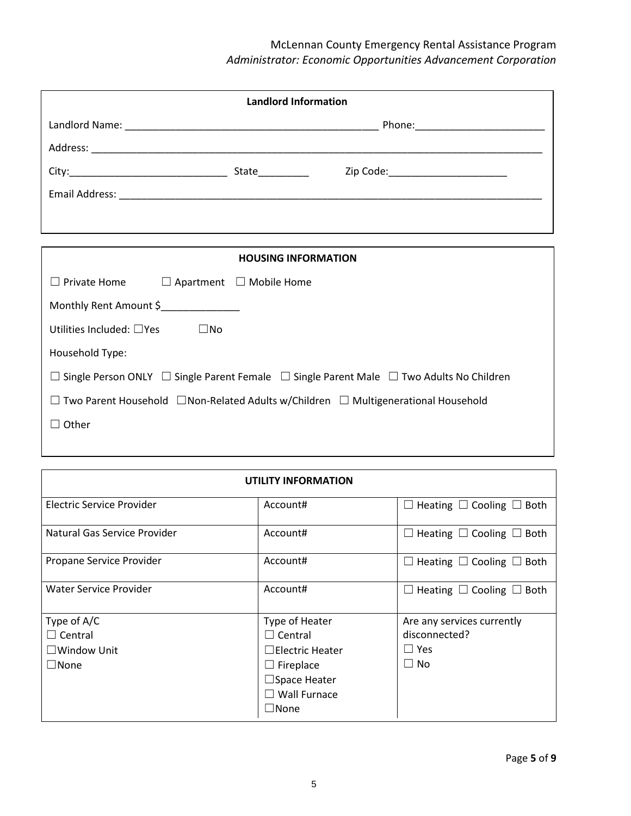| <b>Landlord Information</b>                             |  |                            |                                    |
|---------------------------------------------------------|--|----------------------------|------------------------------------|
|                                                         |  |                            |                                    |
|                                                         |  |                            |                                    |
|                                                         |  | State_________             | Zip Code:_________________________ |
|                                                         |  |                            |                                    |
|                                                         |  |                            |                                    |
|                                                         |  |                            |                                    |
|                                                         |  | <b>HOUSING INFORMATION</b> |                                    |
| $\Box$ Private Home $\Box$ Apartment $\Box$ Mobile Home |  |                            |                                    |
| Monthly Rent Amount \$                                  |  |                            |                                    |

Utilities Included: □Yes □No

Household Type:

| □ Single Person ONLY □ Single Parent Female □ Single Parent Male □ Two Adults No Children |  |
|-------------------------------------------------------------------------------------------|--|
|-------------------------------------------------------------------------------------------|--|

| $\Box$ Two Parent Household $\Box$ Non-Related Adults w/Children $\Box$ Multigenerational Household |  |  |
|-----------------------------------------------------------------------------------------------------|--|--|
|-----------------------------------------------------------------------------------------------------|--|--|

☐ Other

| <b>UTILITY INFORMATION</b>   |                        |                                              |  |  |
|------------------------------|------------------------|----------------------------------------------|--|--|
| Electric Service Provider    | Account#               | Heating $\Box$ Cooling $\Box$ Both<br>$\Box$ |  |  |
| Natural Gas Service Provider | Account#               | Heating $\Box$ Cooling $\Box$ Both<br>$\Box$ |  |  |
| Propane Service Provider     | Account#               | Heating $\Box$ Cooling $\Box$ Both<br>$\Box$ |  |  |
| Water Service Provider       | Account#               | Heating $\Box$ Cooling $\Box$ Both           |  |  |
| Type of A/C                  | Type of Heater         | Are any services currently                   |  |  |
| $\Box$ Central               | $\Box$ Central         | disconnected?                                |  |  |
| $\Box$ Window Unit           | $\Box$ Electric Heater | $\Box$ Yes                                   |  |  |
| $\Box$ None                  | $\Box$ Fireplace       | $\Box$ No                                    |  |  |
|                              | $\Box$ Space Heater    |                                              |  |  |
|                              | $\Box$ Wall Furnace    |                                              |  |  |
|                              | $\square$ None         |                                              |  |  |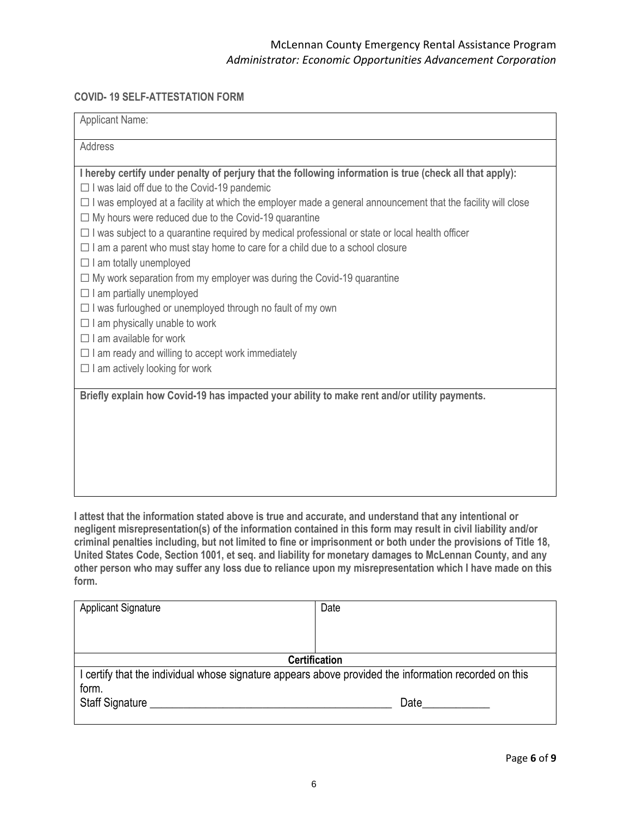### **COVID- 19 SELF-ATTESTATION FORM**

| <b>Applicant Name:</b>                                                                                                                                                                                                                                                                                                                                                                                                                                                                                                                                                                                                                                                                                                                                                                                                                                                                                                                                                                                                                                          |
|-----------------------------------------------------------------------------------------------------------------------------------------------------------------------------------------------------------------------------------------------------------------------------------------------------------------------------------------------------------------------------------------------------------------------------------------------------------------------------------------------------------------------------------------------------------------------------------------------------------------------------------------------------------------------------------------------------------------------------------------------------------------------------------------------------------------------------------------------------------------------------------------------------------------------------------------------------------------------------------------------------------------------------------------------------------------|
| Address                                                                                                                                                                                                                                                                                                                                                                                                                                                                                                                                                                                                                                                                                                                                                                                                                                                                                                                                                                                                                                                         |
| I hereby certify under penalty of perjury that the following information is true (check all that apply):<br>$\Box$ I was laid off due to the Covid-19 pandemic<br>$\Box$ I was employed at a facility at which the employer made a general announcement that the facility will close<br>$\Box$ My hours were reduced due to the Covid-19 quarantine<br>$\Box$ I was subject to a quarantine required by medical professional or state or local health officer<br>$\Box$ I am a parent who must stay home to care for a child due to a school closure<br>$\Box$ I am totally unemployed<br>$\Box$ My work separation from my employer was during the Covid-19 quarantine<br>$\Box$ I am partially unemployed<br>$\Box$ I was furloughed or unemployed through no fault of my own<br>$\Box$ I am physically unable to work<br>$\Box$ I am available for work<br>$\Box$ I am ready and willing to accept work immediately<br>$\Box$ I am actively looking for work<br>Briefly explain how Covid-19 has impacted your ability to make rent and/or utility payments. |
|                                                                                                                                                                                                                                                                                                                                                                                                                                                                                                                                                                                                                                                                                                                                                                                                                                                                                                                                                                                                                                                                 |
| I attest that the information stated above is true and accurate, and understand that any intentional or<br>negligent misrepresentation(s) of the information contained in this form may result in civil liability and/or<br>criminal penalties including, but not limited to fine or imprisonment or both under the provisions of Title 18,                                                                                                                                                                                                                                                                                                                                                                                                                                                                                                                                                                                                                                                                                                                     |

**United States Code, Section 1001, et seq. and liability for monetary damages to McLennan County, and any other person who may suffer any loss due to reliance upon my misrepresentation which I have made on this form.**

| <b>Applicant Signature</b>                                                                            | Date |  |  |
|-------------------------------------------------------------------------------------------------------|------|--|--|
|                                                                                                       |      |  |  |
|                                                                                                       |      |  |  |
| <b>Certification</b>                                                                                  |      |  |  |
| I certify that the individual whose signature appears above provided the information recorded on this |      |  |  |
| form.                                                                                                 |      |  |  |
| Staff Signature                                                                                       | Date |  |  |
|                                                                                                       |      |  |  |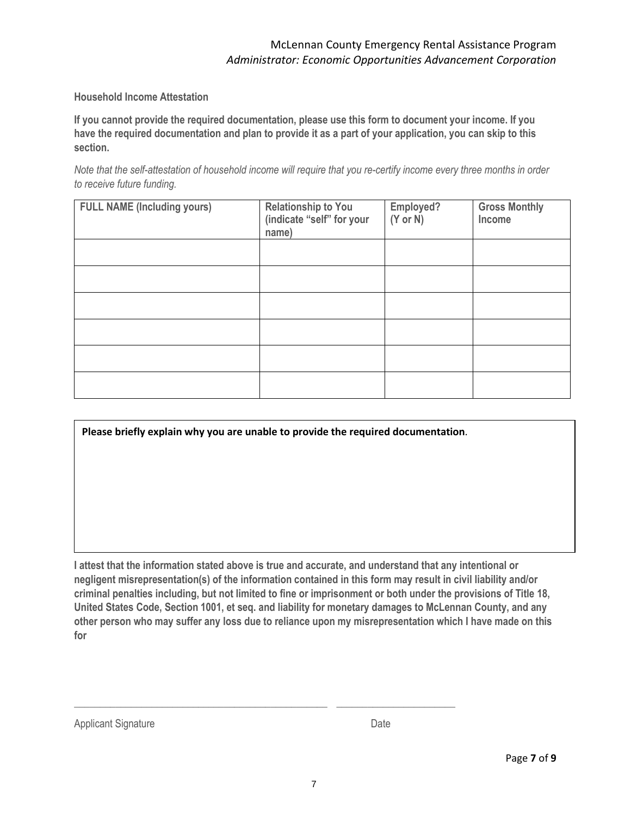### **Household Income Attestation**

**If you cannot provide the required documentation, please use this form to document your income. If you have the required documentation and plan to provide it as a part of your application, you can skip to this section.** 

*Note that the self-attestation of household income will require that you re-certify income every three months in order to receive future funding.*

| <b>FULL NAME (Including yours)</b> | <b>Relationship to You</b><br>(indicate "self" for your<br>name) | Employed?<br>$(Y \text{ or } N)$ | <b>Gross Monthly</b><br>Income |
|------------------------------------|------------------------------------------------------------------|----------------------------------|--------------------------------|
|                                    |                                                                  |                                  |                                |
|                                    |                                                                  |                                  |                                |
|                                    |                                                                  |                                  |                                |
|                                    |                                                                  |                                  |                                |
|                                    |                                                                  |                                  |                                |
|                                    |                                                                  |                                  |                                |

**Please briefly explain why you are unable to provide the required documentation**.

**I attest that the information stated above is true and accurate, and understand that any intentional or negligent misrepresentation(s) of the information contained in this form may result in civil liability and/or criminal penalties including, but not limited to fine or imprisonment or both under the provisions of Title 18, United States Code, Section 1001, et seq. and liability for monetary damages to McLennan County, and any other person who may suffer any loss due to reliance upon my misrepresentation which I have made on this for**

| <b>Applicant Signature</b> | Date |
|----------------------------|------|
|----------------------------|------|

\_\_\_\_\_\_\_\_\_\_\_\_\_\_\_\_\_\_\_\_\_\_\_\_\_\_\_\_\_\_\_\_\_\_\_\_\_\_\_\_\_\_\_\_\_\_\_\_\_ \_\_\_\_\_\_\_\_\_\_\_\_\_\_\_\_\_\_\_\_\_\_\_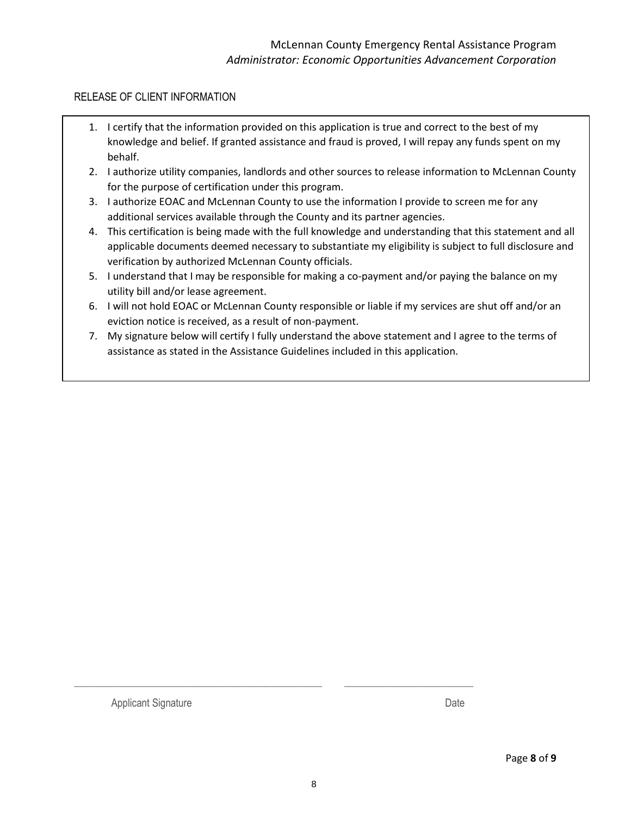### RELEASE OF CLIENT INFORMATION

- 1. I certify that the information provided on this application is true and correct to the best of my knowledge and belief. If granted assistance and fraud is proved, I will repay any funds spent on my behalf.
- 2. I authorize utility companies, landlords and other sources to release information to McLennan County for the purpose of certification under this program.
- 3. I authorize EOAC and McLennan County to use the information I provide to screen me for any additional services available through the County and its partner agencies.
- 4. This certification is being made with the full knowledge and understanding that this statement and all applicable documents deemed necessary to substantiate my eligibility is subject to full disclosure and verification by authorized McLennan County officials.
- 5. I understand that I may be responsible for making a co-payment and/or paying the balance on my utility bill and/or lease agreement.
- 6. I will not hold EOAC or McLennan County responsible or liable if my services are shut off and/or an eviction notice is received, as a result of non-payment.
- 7. My signature below will certify I fully understand the above statement and I agree to the terms of assistance as stated in the Assistance Guidelines included in this application.

Applicant Signature Date

\_\_\_\_\_\_\_\_\_\_\_\_\_\_\_\_\_\_\_\_\_\_\_\_\_\_\_\_\_\_\_\_\_\_\_\_\_\_\_\_\_\_\_\_\_\_\_\_ \_\_\_\_\_\_\_\_\_\_\_\_\_\_\_\_\_\_\_\_\_\_\_\_\_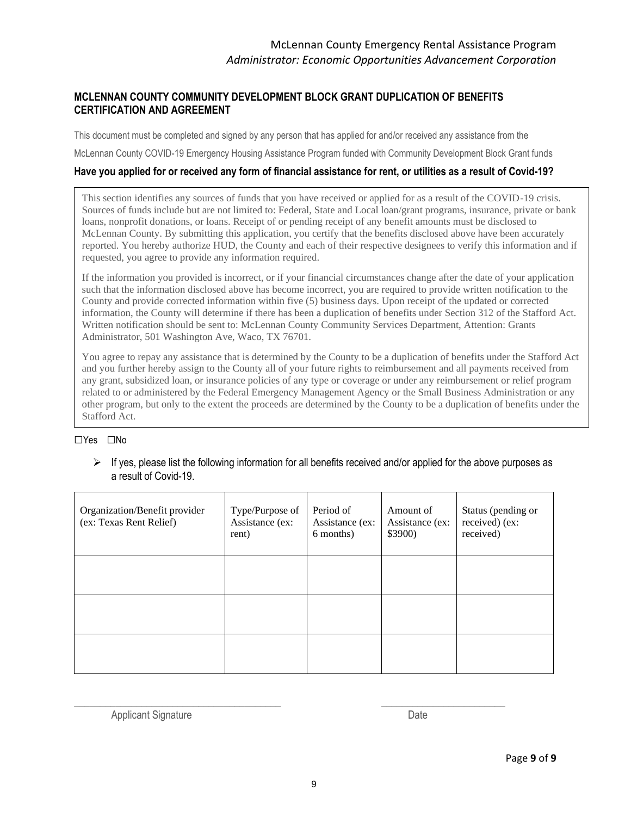### **MCLENNAN COUNTY COMMUNITY DEVELOPMENT BLOCK GRANT DUPLICATION OF BENEFITS CERTIFICATION AND AGREEMENT**

This document must be completed and signed by any person that has applied for and/or received any assistance from the

McLennan County COVID-19 Emergency Housing Assistance Program funded with Community Development Block Grant funds

#### **Have you applied for or received any form of financial assistance for rent, or utilities as a result of Covid-19?**

This section identifies any sources of funds that you have received or applied for as a result of the COVID-19 crisis. Sources of funds include but are not limited to: Federal, State and Local loan/grant programs, insurance, private or bank loans, nonprofit donations, or loans. Receipt of or pending receipt of any benefit amounts must be disclosed to McLennan County. By submitting this application, you certify that the benefits disclosed above have been accurately reported. You hereby authorize HUD, the County and each of their respective designees to verify this information and if requested, you agree to provide any information required.

If the information you provided is incorrect, or if your financial circumstances change after the date of your application such that the information disclosed above has become incorrect, you are required to provide written notification to the County and provide corrected information within five (5) business days. Upon receipt of the updated or corrected information, the County will determine if there has been a duplication of benefits under Section 312 of the Stafford Act. Written notification should be sent to: McLennan County Community Services Department, Attention: Grants Administrator, 501 Washington Ave, Waco, TX 76701.

You agree to repay any assistance that is determined by the County to be a duplication of benefits under the Stafford Act and you further hereby assign to the County all of your future rights to reimbursement and all payments received from any grant, subsidized loan, or insurance policies of any type or coverage or under any reimbursement or relief program related to or administered by the Federal Emergency Management Agency or the Small Business Administration or any other program, but only to the extent the proceeds are determined by the County to be a duplication of benefits under the Stafford Act.

#### ☐Yes ☐No

 $\triangleright$  If yes, please list the following information for all benefits received and/or applied for the above purposes as a result of Covid-19.

| Organization/Benefit provider<br>(ex: Texas Rent Relief) | Type/Purpose of<br>Assistance (ex:<br>rent) | Period of<br>Assistance (ex:<br>6 months) | Amount of<br>Assistance (ex:<br>\$3900) | Status (pending or<br>received) (ex:<br>received) |
|----------------------------------------------------------|---------------------------------------------|-------------------------------------------|-----------------------------------------|---------------------------------------------------|
|                                                          |                                             |                                           |                                         |                                                   |
|                                                          |                                             |                                           |                                         |                                                   |
|                                                          |                                             |                                           |                                         |                                                   |

Applicant Signature Date

 $\_$  , and the set of the set of the set of the set of the set of the set of the set of the set of the set of the set of the set of the set of the set of the set of the set of the set of the set of the set of the set of th